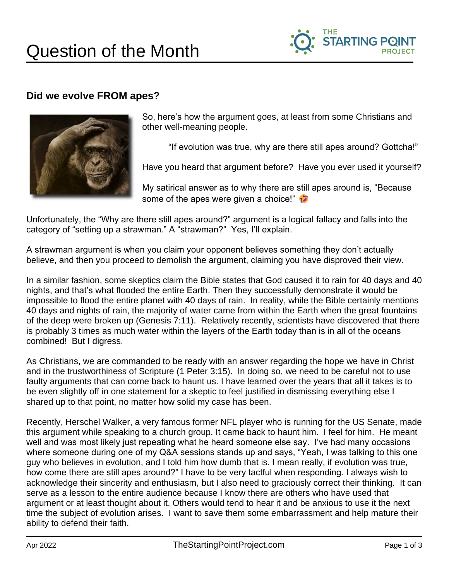

## **Did we evolve FROM apes?**



So, here's how the argument goes, at least from some Christians and other well-meaning people.

"If evolution was true, why are there still apes around? Gottcha!"

Have you heard that argument before? Have you ever used it yourself?

My satirical answer as to why there are still apes around is, "Because some of the apes were given a choice!"

Unfortunately, the "Why are there still apes around?" argument is a logical fallacy and falls into the category of "setting up a strawman." A "strawman?" Yes, I'll explain.

A strawman argument is when you claim your opponent believes something they don't actually believe, and then you proceed to demolish the argument, claiming you have disproved their view.

In a similar fashion, some skeptics claim the Bible states that God caused it to rain for 40 days and 40 nights, and that's what flooded the entire Earth. Then they successfully demonstrate it would be impossible to flood the entire planet with 40 days of rain. In reality, while the Bible certainly mentions 40 days and nights of rain, the majority of water came from within the Earth when the great fountains of the deep were broken up (Genesis 7:11). Relatively recently, scientists have discovered that there is probably 3 times as much water within the layers of the Earth today than is in all of the oceans combined! But I digress.

As Christians, we are commanded to be ready with an answer regarding the hope we have in Christ and in the trustworthiness of Scripture (1 Peter 3:15). In doing so, we need to be careful not to use faulty arguments that can come back to haunt us. I have learned over the years that all it takes is to be even slightly off in one statement for a skeptic to feel justified in dismissing everything else I shared up to that point, no matter how solid my case has been.

Recently, Herschel Walker, a very famous former NFL player who is running for the US Senate, made this argument while speaking to a church group. It came back to haunt him. I feel for him. He meant well and was most likely just repeating what he heard someone else say. I've had many occasions where someone during one of my Q&A sessions stands up and says, "Yeah, I was talking to this one guy who believes in evolution, and I told him how dumb that is. I mean really, if evolution was true, how come there are still apes around?" I have to be very tactful when responding. I always wish to acknowledge their sincerity and enthusiasm, but I also need to graciously correct their thinking. It can serve as a lesson to the entire audience because I know there are others who have used that argument or at least thought about it. Others would tend to hear it and be anxious to use it the next time the subject of evolution arises. I want to save them some embarrassment and help mature their ability to defend their faith.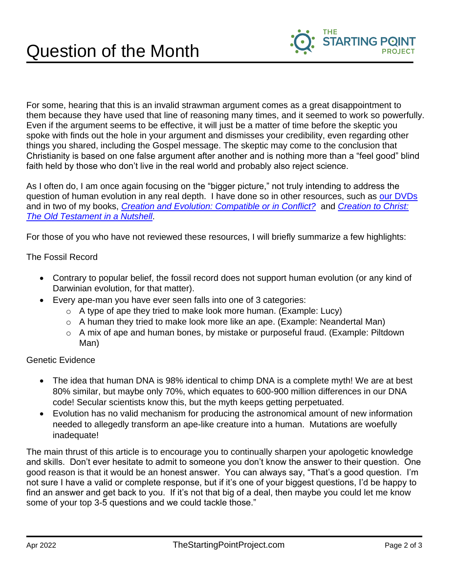

For some, hearing that this is an invalid strawman argument comes as a great disappointment to them because they have used that line of reasoning many times, and it seemed to work so powerfully. Even if the argument seems to be effective, it will just be a matter of time before the skeptic you spoke with finds out the hole in your argument and dismisses your credibility, even regarding other things you shared, including the Gospel message. The skeptic may come to the conclusion that Christianity is based on one false argument after another and is nothing more than a "feel good" blind faith held by those who don't live in the real world and probably also reject science.

As I often do, I am once again focusing on the "bigger picture," not truly intending to address the question of human evolution in any real depth. I have done so in other resources, such as [our DVDs](https://thestartingpointproject.mybigcommerce.com/dvds/) and in two of my books, *[Creation and Evolution: Compatible or in Conflict?](https://thestartingpointproject.mybigcommerce.com/creation-evolution-book/)* and *[Creation to Christ:](https://thestartingpointproject.mybigcommerce.com/creation-to-christ-book/) [The Old Testament in a Nutshell](https://thestartingpointproject.mybigcommerce.com/creation-to-christ-book/)*.

For those of you who have not reviewed these resources, I will briefly summarize a few highlights:

The Fossil Record

- Contrary to popular belief, the fossil record does not support human evolution (or any kind of Darwinian evolution, for that matter).
- Every ape-man you have ever seen falls into one of 3 categories:
	- o A type of ape they tried to make look more human. (Example: Lucy)
	- o A human they tried to make look more like an ape. (Example: Neandertal Man)
	- o A mix of ape and human bones, by mistake or purposeful fraud. (Example: Piltdown Man)

## Genetic Evidence

- The idea that human DNA is 98% identical to chimp DNA is a complete myth! We are at best 80% similar, but maybe only 70%, which equates to 600-900 million differences in our DNA code! Secular scientists know this, but the myth keeps getting perpetuated.
- Evolution has no valid mechanism for producing the astronomical amount of new information needed to allegedly transform an ape-like creature into a human. Mutations are woefully inadequate!

The main thrust of this article is to encourage you to continually sharpen your apologetic knowledge and skills. Don't ever hesitate to admit to someone you don't know the answer to their question. One good reason is that it would be an honest answer. You can always say, "That's a good question. I'm not sure I have a valid or complete response, but if it's one of your biggest questions, I'd be happy to find an answer and get back to you. If it's not that big of a deal, then maybe you could let me know some of your top 3-5 questions and we could tackle those."